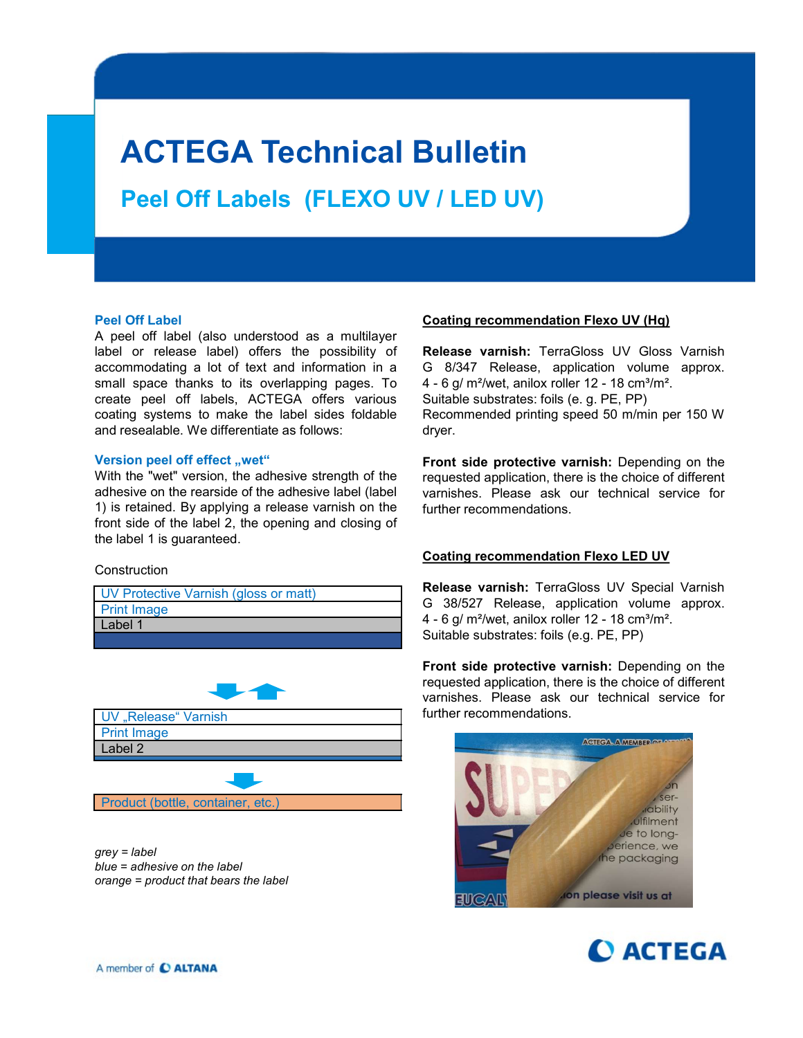# ACTEGA Technical Bulletin

Peel Off Labels (FLEXO UV / LED UV)

**ACTEGA Technical Bulletin**<br>
Peel Off Labels (FLEXO UV / LED UV)<br>
Peel Off Label<br>
A peel off label<br>
A peel off label (also understood as a multilayer<br>
A peel of label (also understood as a multilayer<br>
accommodating a lot o **ACTEGA Technical Bulletin**<br> **Peel Off Labels (FLEXO UV / LED UV)**<br>
Peel off Label<br>
A peel off label (also understood as a multilayer<br>
A peel off label (also understood as a multilayer<br> **Coating recommendation Flexo UV (H ACTEGA Technical Bulletin**<br>
Peel Off Labels (FLEXO UV / LED UV)<br>
Peel Off Label<br>
A peel off label (also understood as a mutilityer<br>
A peel off label (also understood as a mutilityer continue of the possibility of Release **ACTEGA Technical Bulletin**<br> **Peel Off Labels (FLEXO UV / LED UV)**<br>
Peel Off Label<br>
A peel off label (also understood as a multilayer<br>
A peel off label (also understood as a multilayer<br>
accommodation Flexo UV (Hq)<br>
abel or **ACTEGA Technical Bulletin**<br>
Peel Off Labels (FLEXO UV / LED UV)<br>
Peel Off Label<br>
A peel of label<br>
A peel of label<br>
A peel of label (also understood as a multilayer<br>
Reade or release label) offers the possibility of<br>
Relea **ACTEGA Technical Bulletin**<br>
Peel Off Labels (FLEXO UV / LED UV)<br>
Peel off label<br>
A peel off label<br>
A peel off label<br>
A peel off label<br>
A peel off label<br>
A peel off label<br>
A peel off label<br>
a peel of file (also understood **ACTEGA Technical Bulletin**<br>
Peel Off Labels (FLEXO UV / LED UV)<br>
Peel Off Label<br>
Peel Off Label<br>
A peel of label (also understood as a multilayer<br>
Release varmish: TerraGloss UV Gloss Varmish<br>
accordinating a lot of lext and resealable. We differentiate as follows: **ACTEGA Technical Bulletin**<br> **Peel Off Labels** (FLEXO UV / LED UV)<br>
Peel of Label<br>
Peel of Label<br>
Apel of tabel (also understood as a multilayer<br>
Apel of tabel (also understood as a multilayer<br>
also the relation of the pe **ACTEGA Technical Bulletin**<br>
Peel Off Labels (FLEXO UV / LED UV)<br>
Peel of tabel (also understood as a multilayer<br>
A peel off tabel (also understood as a multilayer<br>
accommondation Flexo UV (Hq)<br>
accommondation a lot of tex **ALTEGATEGATES (FLEXOUV / LEDUV)**<br>
Peel Off Labels (FLEXOUV / LEDUV)<br>
A peel off label (also understood as a multilayer<br>
A peel off label (also understood as a multilayer<br>
accommodating a lot of text and information in a G **Peel Off Labels (FLEXO UV / LED UV)**<br>
Peel off Label<br>
A peel off label (also understood as a multilayer<br>
A peel off label (also understood as a multilayer<br>
accommondation Fiexo UV Gloss Vamish<br>
abcel or release label) off **FILEXO UV / LED UV)**<br>
Peel Off Label<br>
A peel off label (also understood as a multilayer **Coating recommendation Fiexo UV (Hq)**<br>
A peel off label (also understood as a multilayer **Release varmish:** TerraGloss UV Gloss Varm Peel Off Label (FLEXO UV / LED UV)<br>
Peel off Label<br>
A peel off Label<br>
A peel off Label<br>
A peel off Label<br>
A peel off Label<br>
A peel off Label<br>
A peel off Label<br>
accommodating a lot of text and information in a<br>
caccommodati

## **Construction**

| UV Protective Varnish (gloss or matt) | <b>Relea</b> |
|---------------------------------------|--------------|
| <b>Print Image</b>                    | -38<br>G     |
| Label 1                               | $4 - 60$     |
|                                       | Suital       |



grey = label blue = adhesive on the label orange = product that bears the label

**Bulletin**<br> **Coating recommendation Flexo UV (Hq)**<br> **Coating recommendation Flexo UV (Hq)**<br> **Release varnish:** TerraGloss UV Gloss Varnish<br>
G 8/347 Release, application volume approx.<br>
Suitable substrates: foils (e. g. PE **Bulletin**<br> **Sulletin**<br> **Coating recommendation Flexo UV (Hq)**<br> **Release varnish:** TerraGloss UV Gloss Varnish<br> **G** 8/347 Release, application volume approx.<br>
4 - 6 g/ m<sup>2</sup>/wet, anilox roller 12 - 18 cm<sup>3</sup>/m<sup>2</sup>.<br>
Suitable **Bulletin**<br> **Coating recommendation Flexo UV (Hq)**<br>
Release varnish: TerraGloss UV Gloss Varnish<br>
G 8/347 Release, application volume approx.<br>
4 - 6 g/ m<sup>2</sup>/wet, anilox roller 12 - 18 cm<sup>3</sup>/m<sup>2</sup>.<br>
Suitable substrates: foil **3 Ulletin**<br>
// LED UV)<br>
Coating recommendation Flexo UV (Hq)<br>
Release varnish: TerraGloss UV Gloss Varnish<br>
G 8/347 Release, application volume approx.<br>
Suitable substrates: foils (e. 9. PE, PP)<br>
Recommended printing spee **Suite Suite Suite Suite Suite Suite Suite Suite Suite Suite Suite Suite Suite Suite Suite Suite Suite Suite Suite Suite Suite Suite Suite Suite Suite Suite Suite Suite Suite Suite Suite Suite Suite Suite Suite Suite Suite Bulletin**<br> **Sulleting**<br> **Coating recommendation Flexo UV (Hg)**<br> **Release varnish:** TerraGloss UV Gloss Varnish<br>
G 8/347 Release, application volume approx.<br>
4 - 6 g/ m<sup>2</sup>/wet, anilox roller 12 - 18 cm<sup>3</sup>/m<sup>2</sup>.<br>
Suitable dryer. **FROM STATES (STATE)**<br> **FROM STATES (STATES)**<br> **Explanse varnish:** TerraGloss UV Gloss Varnish<br>
G 8/347 Release, application volume approx.<br>
4 - 6 g/ m<sup>2</sup>/wet, anilox roller 12 - 18 cm<sup>3</sup>/m<sup>2</sup>.<br>
Suitable substrates: foils **region of the community of the community of the community of the conting Release varnish: TerraGloss UV Gloss Varnish G 8/347 Release, application volume approx.<br>4 - 6 g/ m<sup>2</sup>/wet, anilox roller 12 - 18 cm<sup>3</sup>/m<sup>2</sup>.<br>Suita V** / LED UV)<br>
Coating recommendation Flexo UV (Hg)<br>
Release varnish: TerraGloss UV Gloss Varnish<br>
G 8/347 Release, application volume approx.<br>
4 - 6 g/ m<sup>2</sup>/wet, anilox roller 12 - 18 cm<sup>3</sup>/m<sup>2</sup>.<br>
Suitable substrates: fo **FRACE CONTRACT CONTRACT CONTROLL CONTROLL CONTROLLY CONTRACT CONTRACT CONTRACT CONTRACT CONTRACT CONTRACT CONTRACT CONTRACT CONTRACT CONTRACT CONTRACT CONTRACT CONTRACT CONTRACT CONTRACT CONTRACT CONTRACT CONTRACT CONTRAC Coating recommendation Flexo UV (Hq)**<br> **Release varnish:** TerraGloss UV Gloss Varnish<br>
G 8/347 Release, application volume approx.<br>
Suitable substrates: foils (e. g. PE, PP)<br>
Suitable substrates: foils (e. g. PE, PP)<br>
Re **Coating recommendation Flexo UV (Hg)**<br> **Release varnish:** TerraGloss UV Gloss Varnish<br>
G 8/347 Release, application volume approx.<br>
4 - 6 g/ m<sup>2</sup>/wet, anilox roller 12 - 18 cm<sup>3</sup>/m<sup>2</sup>.<br>
Suitable substrates: foils (e. g. **Coating recommendation Flexo UV (Hq)**<br> **Release varnish:** TerraGloss UV Gloss Varnish<br>
G 8/347 Release, application volume approx.<br>
4 - 6 g/ m<sup>2</sup>/welt, anilox roller 12 - 18 cm<sup>3</sup>/m<sup>2</sup>.<br>
Suitable substrates: foils (e. g. **Coating recommendation Flexo UV (Hg)**<br> **Release varnish:** TerraGloss UV Gloss Varnish<br>
G 8/347 Release, application volume approx.<br>
4 - 6 g/ m<sup>2</sup>/wet, anilox roller 12 - 18 cm<sup>3/m<sup>2</sup>.<br>
Suitable substrates: foils (e. g. P</sup> **Coating recommendation Flexo UV (Hg)**<br> **Release varnish:** TerraGloss UV Gloss Varnish<br>
G 8/347 Release, application volume approx.<br>
4 - 6 g/ m<sup>2</sup>/wet, anilox roller 12 - 18 cm<sup>3</sup>/m<sup>2</sup>.<br>
Suitable substrates: foils (e.g. P **Release varnish:** TerraGloss UV Gloss Varnish<br>
Gelease varnish: TerraGloss UV Gloss Varnish<br>
4 - 6 g/ m<sup>2</sup>/wet, anilox roller 12 - 18 cm<sup>3</sup>/m<sup>2</sup>.<br>
Suitable substrates: foils (e. g. PE, PP)<br>
Recommended printing speed 50 m **Release varnish:** TerraGloss UV Gloss Varnish<br>
G 8/347 Release, application volume approx.<br>
4 - 6 g/ m<sup>2</sup>/wet, anilox roller 12 - 18 cm<sup>2/m2</sup>.<br>
Suitable substrates: foils (e. g. PE, PP)<br>
Recommended printing speed 50 m/m variative continuing the material services of the energy and the energy and  $4 - 6$  g/m<sup>2</sup>/wet, anilox roller 12 - 18 cm<sup>3</sup>/m<sup>2</sup>.<br>Suitable substrates: folis (e. g. PE, PP)<br>Suitable substrates: folis (e. g. PE, PP)<br>Recommen orientation and the recommendation of the recommendation of the recommendation of the Gd m<sup>3</sup>/meta, anilox roller 12 - 18 cm<sup>3</sup>/m<sup>2</sup>.<br>Suitable substrates: foils (e. g. PE, PP)<br>Recommended printing speed 50 m/min per 150 W<br>